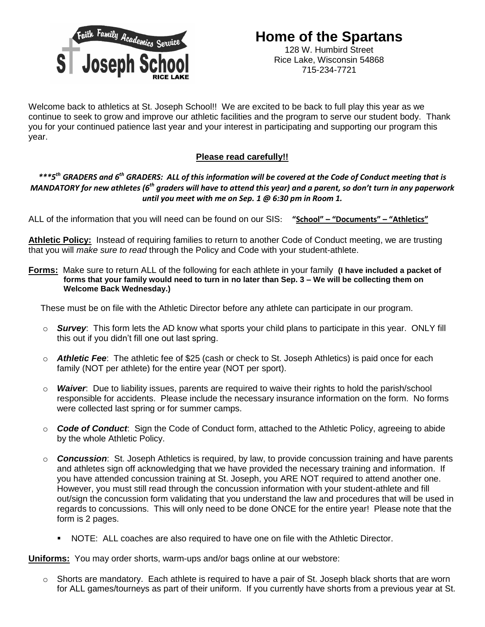

Welcome back to athletics at St. Joseph School!! We are excited to be back to full play this year as we continue to seek to grow and improve our athletic facilities and the program to serve our student body. Thank you for your continued patience last year and your interest in participating and supporting our program this year.

## **Please read carefully!!**

*\*\*\*5th GRADERS and 6th GRADERS: ALL of this information will be covered at the Code of Conduct meeting that is MANDATORY for new athletes (6th graders will have to attend this year) and a parent, so don't turn in any paperwork until you meet with me on Sep. 1 @ 6:30 pm in Room 1.*

ALL of the information that you will need can be found on our SIS: **"School" – "Documents" – "Athletics"**

**Athletic Policy:** Instead of requiring families to return to another Code of Conduct meeting, we are trusting that you will *make sure to read* through the Policy and Code with your student-athlete.

**Forms:** Make sure to return ALL of the following for each athlete in your family **(I have included a packet of forms that your family would need to turn in no later than Sep. 3 – We will be collecting them on Welcome Back Wednesday.)**

These must be on file with the Athletic Director before any athlete can participate in our program.

- o *Survey*: This form lets the AD know what sports your child plans to participate in this year. ONLY fill this out if you didn't fill one out last spring.
- o *Athletic Fee*: The athletic fee of \$25 (cash or check to St. Joseph Athletics) is paid once for each family (NOT per athlete) for the entire year (NOT per sport).
- o *Waiver*: Due to liability issues, parents are required to waive their rights to hold the parish/school responsible for accidents. Please include the necessary insurance information on the form. No forms were collected last spring or for summer camps.
- o *Code of Conduct*: Sign the Code of Conduct form, attached to the Athletic Policy, agreeing to abide by the whole Athletic Policy.
- o *Concussion*: St. Joseph Athletics is required, by law, to provide concussion training and have parents and athletes sign off acknowledging that we have provided the necessary training and information. If you have attended concussion training at St. Joseph, you ARE NOT required to attend another one. However, you must still read through the concussion information with your student-athlete and fill out/sign the concussion form validating that you understand the law and procedures that will be used in regards to concussions. This will only need to be done ONCE for the entire year! Please note that the form is 2 pages.
	- NOTE: ALL coaches are also required to have one on file with the Athletic Director.

**Uniforms:** You may order shorts, warm-ups and/or bags online at our webstore:

 $\circ$  Shorts are mandatory. Each athlete is required to have a pair of St. Joseph black shorts that are worn for ALL games/tourneys as part of their uniform. If you currently have shorts from a previous year at St.